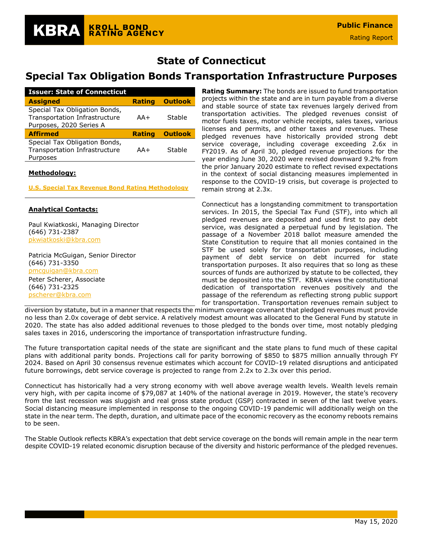# **State of Connecticut**

# **Special Tax Obligation Bonds Transportation Infrastructure Purposes**

| <b>Issuer: State of Connecticut</b>                                                       |               |                |
|-------------------------------------------------------------------------------------------|---------------|----------------|
| <b>Assigned</b>                                                                           | <b>Rating</b> | <b>Outlook</b> |
| Special Tax Obligation Bonds,<br>Transportation Infrastructure<br>Purposes, 2020 Series A | $AA+$         | Stable         |
| <b>Affirmed</b>                                                                           | <b>Rating</b> | <b>Outlook</b> |
| Special Tax Obligation Bonds,<br>Transportation Infrastructure                            | $AA+$         | Stable         |

# **Methodology:**

**[U.S. Special Tax Revenue Bond Rating Methodology](https://documents.krollbondratings.com/report/197)**

# **Analytical Contacts:**

Paul Kwiatkoski, Managing Director (646) 731-2387 [pkwiatkoski@kbra.com](mailto:pkwiatkoski@kbra.com)

Patricia McGuigan, Senior Director (646) 731-3350 [pmcguigan@kbra.com](mailto:pmcguigan@kbra.com) Peter Scherer, Associate (646) 731-2325 [pscherer@kbra.com](mailto:pscherer@kbra.com)

**Rating Summary:** The bonds are issued to fund transportation projects within the state and are in turn payable from a diverse and stable source of state tax revenues largely derived from transportation activities. The pledged revenues consist of motor fuels taxes, motor vehicle receipts, sales taxes, various licenses and permits, and other taxes and revenues. These pledged revenues have historically provided strong debt service coverage, including coverage exceeding 2.6x in FY2019. As of April 30, pledged revenue projections for the year ending June 30, 2020 were revised downward 9.2% from the prior January 2020 estimate to reflect revised expectations in the context of social distancing measures implemented in response to the COVID-19 crisis, but coverage is projected to remain strong at 2.3x.

Connecticut has a longstanding commitment to transportation services. In 2015, the Special Tax Fund (STF), into which all pledged revenues are deposited and used first to pay debt service, was designated a perpetual fund by legislation. The passage of a November 2018 ballot measure amended the State Constitution to require that all monies contained in the STF be used solely for transportation purposes, including payment of debt service on debt incurred for state transportation purposes. It also requires that so long as these sources of funds are authorized by statute to be collected, they must be deposited into the STF. KBRA views the constitutional dedication of transportation revenues positively and the passage of the referendum as reflecting strong public support for transportation. Transportation revenues remain subject to

diversion by statute, but in a manner that respects the minimum coverage covenant that pledged revenues must provide no less than 2.0x coverage of debt service. A relatively modest amount was allocated to the General Fund by statute in 2020. The state has also added additional revenues to those pledged to the bonds over time, most notably pledging sales taxes in 2016, underscoring the importance of transportation infrastructure funding.

The future transportation capital needs of the state are significant and the state plans to fund much of these capital plans with additional parity bonds. Projections call for parity borrowing of \$850 to \$875 million annually through FY 2024. Based on April 30 consensus revenue estimates which account for COVID-19 related disruptions and anticipated future borrowings, debt service coverage is projected to range from 2.2x to 2.3x over this period.

Connecticut has historically had a very strong economy with well above average wealth levels. Wealth levels remain very high, with per capita income of \$79,087 at 140% of the national average in 2019. However, the state's recovery from the last recession was sluggish and real gross state product (GSP) contracted in seven of the last twelve years. Social distancing measure implemented in response to the ongoing COVID-19 pandemic will additionally weigh on the state in the near term. The depth, duration, and ultimate pace of the economic recovery as the economy reboots remains to be seen.

The Stable Outlook reflects KBRA's expectation that debt service coverage on the bonds will remain ample in the near term despite COVID-19 related economic disruption because of the diversity and historic performance of the pledged revenues.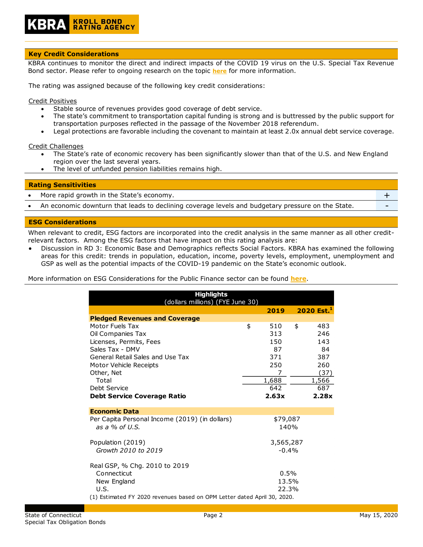# **KROLL BOND<br>RATING AGENCY**

#### **Key Credit Considerations**

KBRA continues to monitor the direct and indirect impacts of the COVID 19 virus on the U.S. Special Tax Revenue Bond sector. Please refer to ongoing research on the topic **[here](https://www.krollbondratings.com/search/publications?page=1&publicationType=Research%20Report&q=covid-19§ors=Public%20Finance)** for more information.

The rating was assigned because of the following key credit considerations:

Credit Positives

- Stable source of revenues provides good coverage of debt service.
- The state's commitment to transportation capital funding is strong and is buttressed by the public support for transportation purposes reflected in the passage of the November 2018 referendum.
- Legal protections are favorable including the covenant to maintain at least 2.0x annual debt service coverage.

Credit Challenges

- The State's rate of economic recovery has been significantly slower than that of the U.S. and New England region over the last several years.
- The level of unfunded pension liabilities remains high.

**Rating Sensitivities**

- More rapid growth in the State's economy.  $+$
- An economic downturn that leads to declining coverage levels and budgetary pressure on the State.

#### **ESG Considerations**

When relevant to credit, ESG factors are incorporated into the credit analysis in the same manner as all other creditrelevant factors. Among the ESG factors that have impact on this rating analysis are:

• Discussion in RD 3: Economic Base and Demographics reflects Social Factors. KBRA has examined the following areas for this credit: trends in population, education, income, poverty levels, employment, unemployment and GSP as well as the potential impacts of the COVID-19 pandemic on the State's economic outlook.

More information on ESG Considerations for the Public Finance sector can be found **[here](https://documents.krollbondratings.com/report/26137/public-finance-environmental-social-and-governance-esg-considerations-by-sector)**.

| <b>Highlights</b><br>(dollars millions) (FYE June 30)                    |    |           |    |                        |  |  |  |  |
|--------------------------------------------------------------------------|----|-----------|----|------------------------|--|--|--|--|
|                                                                          |    | 2019      |    | 2020 Est. <sup>1</sup> |  |  |  |  |
| <b>Pledged Revenues and Coverage</b>                                     |    |           |    |                        |  |  |  |  |
| Motor Fuels Tax                                                          | \$ | 510       | \$ | 483                    |  |  |  |  |
| Oil Companies Tax                                                        |    | 313       |    | 246                    |  |  |  |  |
| Licenses, Permits, Fees                                                  |    | 150       |    | 143                    |  |  |  |  |
| Sales Tax - DMV                                                          |    | 87        |    | 84                     |  |  |  |  |
| General Retail Sales and Use Tax                                         |    | 371       |    | 387                    |  |  |  |  |
| Motor Vehicle Receipts                                                   |    | 250       |    | 260                    |  |  |  |  |
| Other, Net                                                               |    | 7         |    | (37)                   |  |  |  |  |
| Total                                                                    |    | 1,688     |    | 1,566                  |  |  |  |  |
| Debt Service                                                             |    | 642       |    | 687                    |  |  |  |  |
| <b>Debt Service Coverage Ratio</b>                                       |    | 2.63x     |    | 2.28x                  |  |  |  |  |
| <b>Economic Data</b>                                                     |    |           |    |                        |  |  |  |  |
| Per Capita Personal Income (2019) (in dollars)                           |    | \$79,087  |    |                        |  |  |  |  |
| as a $%$ of U.S.                                                         |    | 140%      |    |                        |  |  |  |  |
|                                                                          |    |           |    |                        |  |  |  |  |
| Population (2019)                                                        |    | 3,565,287 |    |                        |  |  |  |  |
| Growth 2010 to 2019                                                      |    | $-0.4%$   |    |                        |  |  |  |  |
| Real GSP, % Chg. 2010 to 2019                                            |    |           |    |                        |  |  |  |  |
| Connecticut                                                              |    | 0.5%      |    |                        |  |  |  |  |
| New England                                                              |    | 13.5%     |    |                        |  |  |  |  |
| U.S.                                                                     |    | 22.3%     |    |                        |  |  |  |  |
| (1) Estimated FY 2020 revenues based on OPM Letter dated April 30, 2020. |    |           |    |                        |  |  |  |  |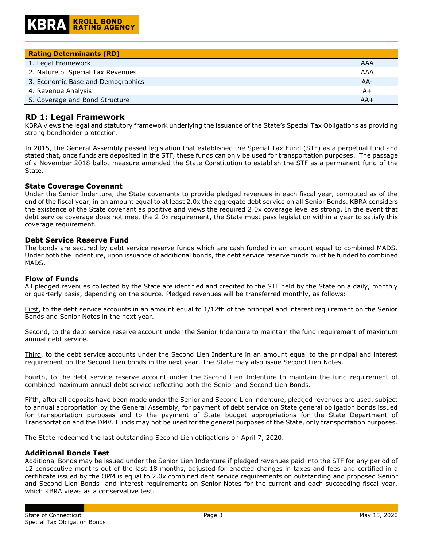| <b>Rating Determinants (RD)</b>   |       |
|-----------------------------------|-------|
| 1. Legal Framework                | AAA   |
| 2. Nature of Special Tax Revenues | AAA   |
| 3. Economic Base and Demographics | $AA-$ |
| 4. Revenue Analysis               | A+    |
| 5. Coverage and Bond Structure    | $AA+$ |

# **RD 1: Legal Framework**

KBRA views the legal and statutory framework underlying the issuance of the State's Special Tax Obligations as providing strong bondholder protection.

In 2015, the General Assembly passed legislation that established the Special Tax Fund (STF) as a perpetual fund and stated that, once funds are deposited in the STF, these funds can only be used for transportation purposes. The passage of a November 2018 ballot measure amended the State Constitution to establish the STF as a permanent fund of the State.

# **State Coverage Covenant**

Under the Senior Indenture, the State covenants to provide pledged revenues in each fiscal year, computed as of the end of the fiscal year, in an amount equal to at least 2.0x the aggregate debt service on all Senior Bonds. KBRA considers the existence of the State covenant as positive and views the required 2.0x coverage level as strong. In the event that debt service coverage does not meet the 2.0x requirement, the State must pass legislation within a year to satisfy this coverage requirement.

#### **Debt Service Reserve Fund**

The bonds are secured by debt service reserve funds which are cash funded in an amount equal to combined MADS. Under both the Indenture, upon issuance of additional bonds, the debt service reserve funds must be funded to combined MADS.

#### **Flow of Funds**

All pledged revenues collected by the State are identified and credited to the STF held by the State on a daily, monthly or quarterly basis, depending on the source. Pledged revenues will be transferred monthly, as follows:

First, to the debt service accounts in an amount equal to 1/12th of the principal and interest requirement on the Senior Bonds and Senior Notes in the next year.

Second, to the debt service reserve account under the Senior Indenture to maintain the fund requirement of maximum annual debt service.

Third, to the debt service accounts under the Second Lien Indenture in an amount equal to the principal and interest requirement on the Second Lien bonds in the next year. The State may also issue Second Lien Notes.

Fourth, to the debt service reserve account under the Second Lien Indenture to maintain the fund requirement of combined maximum annual debt service reflecting both the Senior and Second Lien Bonds.

Fifth, after all deposits have been made under the Senior and Second Lien indenture, pledged revenues are used, subject to annual appropriation by the General Assembly, for payment of debt service on State general obligation bonds issued for transportation purposes and to the payment of State budget appropriations for the State Department of Transportation and the DMV. Funds may not be used for the general purposes of the State, only transportation purposes.

The State redeemed the last outstanding Second Lien obligations on April 7, 2020.

#### **Additional Bonds Test**

Additional Bonds may be issued under the Senior Lien Indenture if pledged revenues paid into the STF for any period of 12 consecutive months out of the last 18 months, adjusted for enacted changes in taxes and fees and certified in a certificate issued by the OPM is equal to 2.0x combined debt service requirements on outstanding and proposed Senior and Second Lien Bonds and interest requirements on Senior Notes for the current and each succeeding fiscal year, which KBRA views as a conservative test.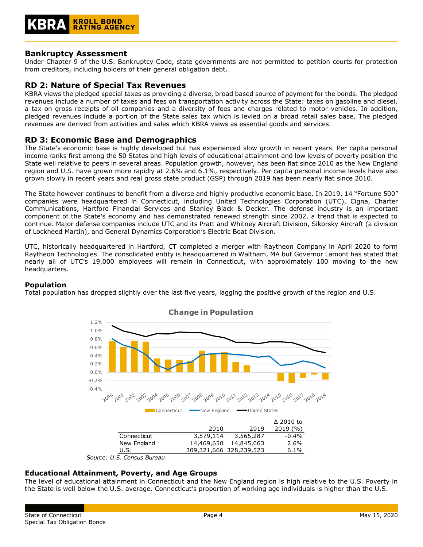

# **Bankruptcy Assessment**

Under Chapter 9 of the U.S. Bankruptcy Code, state governments are not permitted to petition courts for protection from creditors, including holders of their general obligation debt.

# **RD 2: Nature of Special Tax Revenues**

KBRA views the pledged special taxes as providing a diverse, broad based source of payment for the bonds. The pledged revenues include a number of taxes and fees on transportation activity across the State: taxes on gasoline and diesel, a tax on gross receipts of oil companies and a diversity of fees and charges related to motor vehicles. In addition, pledged revenues include a portion of the State sales tax which is levied on a broad retail sales base. The pledged revenues are derived from activities and sales which KBRA views as essential goods and services.

# **RD 3: Economic Base and Demographics**

The State's economic base is highly developed but has experienced slow growth in recent years. Per capita personal income ranks first among the 50 States and high levels of educational attainment and low levels of poverty position the State well relative to peers in several areas. Population growth, however, has been flat since 2010 as the New England region and U.S. have grown more rapidly at 2.6% and 6.1%, respectively. Per capita personal income levels have also grown slowly in recent years and real gross state product (GSP) through 2019 has been nearly flat since 2010.

The State however continues to benefit from a diverse and highly productive economic base. In 2019, 14 "Fortune 500" companies were headquartered in Connecticut, including United Technologies Corporation (UTC), Cigna, Charter Communications, Hartford Financial Services and Stanley Black & Decker. The defense industry is an important component of the State's economy and has demonstrated renewed strength since 2002, a trend that is expected to continue. Major defense companies include UTC and its Pratt and Whitney Aircraft Division, Sikorsky Aircraft (a division of Lockheed Martin), and General Dynamics Corporation's Electric Boat Division.

UTC, historically headquartered in Hartford, CT completed a merger with Raytheon Company in April 2020 to form Raytheon Technologies. The consolidated entity is headquartered in Waltham, MA but Governor Lamont has stated that nearly all of UTC's 19,000 employees will remain in Connecticut, with approximately 100 moving to the new headquarters.

#### **Population**

Total population has dropped slightly over the last five years, lagging the positive growth of the region and U.S.



*Source: U.S. Census Bureau*

# **Educational Attainment, Poverty, and Age Groups**

The level of educational attainment in Connecticut and the New England region is high relative to the U.S. Poverty in the State is well below the U.S. average. Connecticut's proportion of working age individuals is higher than the U.S.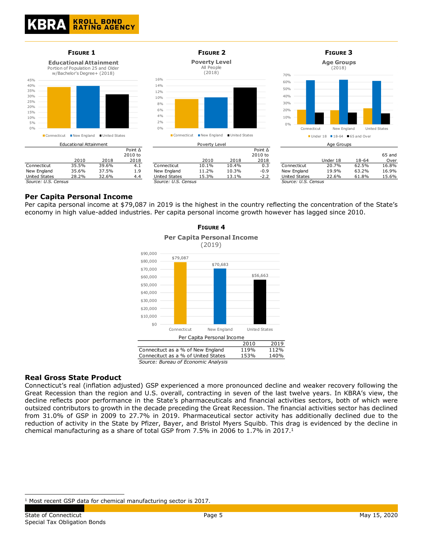

# **Per Capita Personal Income**

Per capita personal income at \$79,087 in 2019 is the highest in the country reflecting the concentration of the State's economy in high value-added industries. Per capita personal income growth however has lagged since 2010.

**FIGURE 4**



*Source: Bureau of Economic Analysis*

# **Real Gross State Product**

Connecticut's real (inflation adjusted) GSP experienced a more pronounced decline and weaker recovery following the Great Recession than the region and U.S. overall, contracting in seven of the last twelve years. In KBRA's view, the decline reflects poor performance in the State's pharmaceuticals and financial activities sectors, both of which were outsized contributors to growth in the decade preceding the Great Recession. The financial activities sector has declined from 31.0% of GSP in 2009 to 27.7% in 2019. Pharmaceutical sector activity has additionally declined due to the reduction of activity in the State by Pfizer, Bayer, and Bristol Myers Squibb. This drag is evidenced by the decline in chemical manufacturing as a share of total GSP from 7.5% in 2006 to  $1.7\%$  in 2017.<sup>1</sup>

<sup>&</sup>lt;sup>1</sup> Most recent GSP data for chemical manufacturing sector is 2017.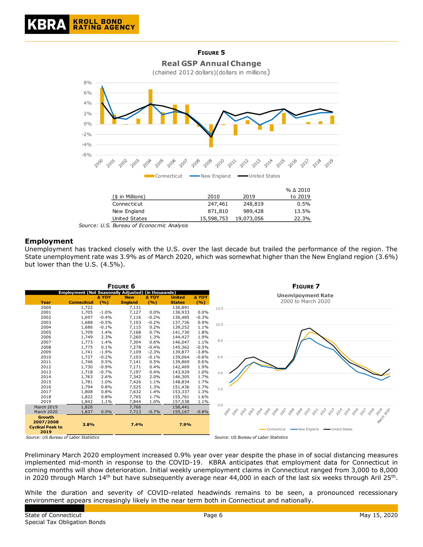

*Source: U.S. Bureau of Econocmic Analysis*

# **Employment**

Unemployment has tracked closely with the U.S. over the last decade but trailed the performance of the region. The State unemployment rate was 3.9% as of March 2020, which was somewhat higher than the New England region (3.6%) but lower than the U.S. (4.5%).



Preliminary March 2020 employment increased 0.9% year over year despite the phase in of social distancing measures implemented mid-month in response to the COVID-19. KBRA anticipates that employment data for Connecticut in coming months will show deterioration. Initial weekly unemployment claims in Connecticut ranged from 3,000 to 8,000 in 2020 through March 14<sup>th</sup> but have subsequently average near 44,000 in each of the last six weeks through Aril 25<sup>th</sup>.

While the duration and severity of COVID-related headwinds remains to be seen, a pronounced recessionary environment appears increasingly likely in the near term both in Connecticut and nationally.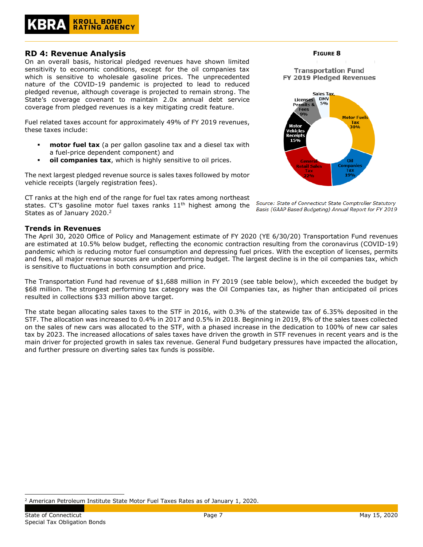# **KROLL BOND<br>RATING AGENCY**

# **RD 4: Revenue Analysis**

On an overall basis, historical pledged revenues have shown limited sensitivity to economic conditions, except for the oil companies tax which is sensitive to wholesale gasoline prices. The unprecedented nature of the COVID-19 pandemic is projected to lead to reduced pledged revenue, although coverage is projected to remain strong. The State's coverage covenant to maintain 2.0x annual debt service coverage from pledged revenues is a key mitigating credit feature.

Fuel related taxes account for approximately 49% of FY 2019 revenues, these taxes include:

- **motor fuel tax** (a per gallon gasoline tax and a diesel tax with a fuel-price dependent component) and
- oil companies tax, which is highly sensitive to oil prices.

The next largest pledged revenue source is sales taxes followed by motor vehicle receipts (largely registration fees).

CT ranks at the high end of the range for fuel tax rates among northeast states. CT's gasoline motor fuel taxes ranks  $11<sup>th</sup>$  highest among the States as of January 2020.<sup>2</sup>

# **Trends in Revenues**

The April 30, 2020 Office of Policy and Management estimate of FY 2020 (YE 6/30/20) Transportation Fund revenues are estimated at 10.5% below budget, reflecting the economic contraction resulting from the coronavirus (COVID-19) pandemic which is reducing motor fuel consumption and depressing fuel prices. With the exception of licenses, permits and fees, all major revenue sources are underperforming budget. The largest decline is in the oil companies tax, which is sensitive to fluctuations in both consumption and price.

The Transportation Fund had revenue of \$1,688 million in FY 2019 (see table below), which exceeded the budget by \$68 million. The strongest performing tax category was the Oil Companies tax, as higher than anticipated oil prices resulted in collections \$33 million above target.

The state began allocating sales taxes to the STF in 2016, with 0.3% of the statewide tax of 6.35% deposited in the STF. The allocation was increased to 0.4% in 2017 and 0.5% in 2018. Beginning in 2019, 8% of the sales taxes collected on the sales of new cars was allocated to the STF, with a phased increase in the dedication to 100% of new car sales tax by 2023. The increased allocations of sales taxes have driven the growth in STF revenues in recent years and is the main driver for projected growth in sales tax revenue. General Fund budgetary pressures have impacted the allocation, and further pressure on diverting sales tax funds is possible.







Source: State of Connecticut State Comptroller Statutory Basis (GAAP Based Budgeting) Annual Report for FY 2019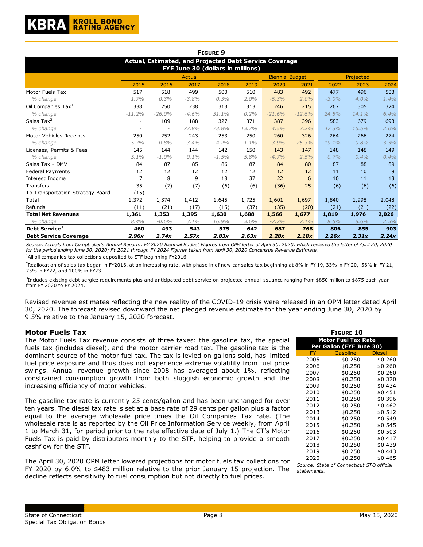|                                                                                             |                |          |         | <b>FIGURE 9</b> |         |                        |                          |          |         |                |
|---------------------------------------------------------------------------------------------|----------------|----------|---------|-----------------|---------|------------------------|--------------------------|----------|---------|----------------|
| Actual, Estimated, and Projected Debt Service Coverage<br>FYE June 30 (dollars in millions) |                |          |         |                 |         |                        |                          |          |         |                |
|                                                                                             |                |          | Actual  |                 |         | <b>Biennial Budget</b> |                          |          |         |                |
|                                                                                             | 2015           | 2016     | 2017    | 2018            | 2019    | 2020                   | 2021                     | 2022     | 2023    | 2024           |
| Motor Fuels Tax                                                                             | 517            | 518      | 499     | 500             | 510     | 483                    | 492                      | 477      | 496     | 503            |
| % change                                                                                    | 1.7%           | 0.3%     | $-3.8%$ | 0.3%            | $2.0\%$ | $-5.3%$                | 2.0%                     | $-3.0%$  | $4.0\%$ | 1.4%           |
| Oil Companies Tax <sup>1</sup>                                                              | 338            | 250      | 238     | 313             | 313     | 246                    | 215                      | 267      | 305     | 324            |
| % change                                                                                    | $-11.2%$       | $-26.0%$ | $-4.6%$ | 31.1%           | 0.2%    | $-21.6%$               | $-12.6%$                 | 24.5%    | 14.1%   | 6.4%           |
| Sales Tax <sup>2</sup>                                                                      | ٠              | 109      | 188     | 327             | 371     | 387                    | 396                      | 583      | 679     | 693            |
| % change                                                                                    |                |          | 72.8%   | 73.8%           | 13.2%   | 4.5%                   | 2.2%                     | 47.3%    | 16.5%   | 2.0%           |
| Motor Vehicles Receipts                                                                     | 250            | 252      | 243     | 253             | 250     | 260                    | 326                      | 264      | 266     | 274            |
| % change                                                                                    | 5.7%           | 0.8%     | $-3.4%$ | 4.2%            | $-1.1%$ | 3.9%                   | 25.3%                    | $-19.1%$ | 0.8%    | 3.3%           |
| Licenses, Permits & Fees                                                                    | 145            | 144      | 144     | 142             | 150     | 143                    | 147                      | 148      | 148     | 149            |
| % change                                                                                    | $5.1\%$        | $-1.0%$  | 0.1%    | $-1.5%$         | 5.8%    | $-4.7%$                | 2.5%                     | 0.7%     | 0.4%    | 0.4%           |
| Sales Tax - DMV                                                                             | 84             | 87       | 85      | 86              | 87      | 84                     | 80                       | 87       | 88      | 89             |
| Federal Payments                                                                            | 12             | 12       | 12      | 12              | 12      | 12                     | 12                       | 11       | 10      | $\overline{9}$ |
| Interest Income                                                                             | $\overline{7}$ | 8        | 9       | 18              | 37      | 22                     | 6                        | 10       | 11      | 13             |
| Transfers                                                                                   | 35             | (7)      | (7)     | (6)             | (6)     | (36)                   | 25                       | (6)      | (6)     | (6)            |
| To Transportation Strategy Board                                                            | (15)           |          |         |                 |         |                        | $\overline{\phantom{0}}$ |          |         |                |
| Total                                                                                       | 1,372          | 1,374    | 1,412   | 1,645           | 1,725   | 1,601                  | 1,697                    | 1,840    | 1,998   | 2,048          |
| Refunds                                                                                     | (11)           | (21)     | (17)    | (15)            | (37)    | (35)                   | (20)                     | (21)     | (21)    | (22)           |
| <b>Total Net Revenues</b>                                                                   | 1,361          | 1,353    | 1,395   | 1,630           | 1,688   | 1,566                  | 1,677                    | 1,819    | 1,976   | 2,026          |
| % change                                                                                    | 8.4%           | $-0.6%$  | 3.1%    | 16.9%           | 3.6%    | $-7.2%$                | 7.1%                     | 8.5%     | 8.6%    | 2.5%           |
| Debt Service <sup>3</sup>                                                                   | 460            | 493      | 543     | 575             | 642     | 687                    | 768                      | 806      | 855     | 903            |
| <b>Debt Service Coverage</b>                                                                | 2.96x          | 2.74x    | 2.57x   | 2.83x           | 2.63x   | 2.28x                  | 2.18x                    | 2.26x    | 2.31x   | 2.24x          |

*Source: Actuals from Comptroller's Annual Reports; FY 2020 Biennial Budget Figures from OPM letter of April 30, 2020, which reviesed the letter of April 20, 2020 for the period ending June 30, 2020; FY 2021 through FY 2024 Figures taken from April 30, 2020 Concensus Revenue Estimate.*  $1$ All oil companies tax collections deposited to STF beginning FY2016.

<sup>2</sup>Reallocation of sales tax began in FY2016, at an increasing rate, with phase in of new car sales tax beginning at 8% in FY 19, 33% in FY 20, 56% in FY 21, 75% in FY22, and 100% in FY23.

 $^3$ Includes existing debt sergice requirements plus and anticipated debt service on projected annual issuance ranging from \$850 million to \$875 each year from FY 2020 to FY 2024.

Revised revenue estimates reflecting the new reality of the COVID-19 crisis were released in an OPM letter dated April 30, 2020. The forecast revised downward the net pledged revenue estimate for the year ending June 30, 2020 by 9.5% relative to the January 15, 2020 forecast.

#### **Motor Fuels Tax**

The Motor Fuels Tax revenue consists of three taxes: the gasoline tax, the special fuels tax (includes diesel), and the motor carrier road tax. The gasoline tax is the dominant source of the motor fuel tax. The tax is levied on gallons sold, has limited fuel price exposure and thus does not experience extreme volatility from fuel price swings. Annual revenue growth since 2008 has averaged about 1%, reflecting constrained consumption growth from both sluggish economic growth and the increasing efficiency of motor vehicles.

The gasoline tax rate is currently 25 cents/gallon and has been unchanged for over ten years. The diesel tax rate is set at a base rate of 29 cents per gallon plus a factor equal to the average wholesale price times the Oil Companies Tax rate. (The wholesale rate is as reported by the Oil Price Information Service weekly, from April 1 to March 31, for period prior to the rate effective date of July 1.) The CT's Motor Fuels Tax is paid by distributors monthly to the STF, helping to provide a smooth cashflow for the STF.

The April 30, 2020 OPM letter lowered projections for motor fuels tax collections for FY 2020 by 6.0% to \$483 million relative to the prior January 15 projection. The decline reflects sensitivity to fuel consumption but not directly to fuel prices.

| <b>FIGURE 10</b>           |                                           |         |  |  |  |  |  |  |
|----------------------------|-------------------------------------------|---------|--|--|--|--|--|--|
| <b>Motor Fuel Tax Rate</b> |                                           |         |  |  |  |  |  |  |
| Per Gallon (FYE June 30)   |                                           |         |  |  |  |  |  |  |
| FY                         | Gasoline                                  | Diesel  |  |  |  |  |  |  |
| 2005                       | \$0.250                                   | \$0.260 |  |  |  |  |  |  |
| 2006                       | \$0.250                                   | \$0.260 |  |  |  |  |  |  |
| 2007                       | \$0.250                                   | \$0.260 |  |  |  |  |  |  |
| 2008                       | \$0.250                                   | \$0.370 |  |  |  |  |  |  |
| 2009                       | \$0.250                                   | \$0.434 |  |  |  |  |  |  |
| 2010                       | \$0.250                                   | \$0.451 |  |  |  |  |  |  |
| 2011                       | \$0.250                                   | \$0.396 |  |  |  |  |  |  |
| 2012                       | \$0.250                                   | \$0.462 |  |  |  |  |  |  |
| 2013                       | \$0.250                                   | \$0.512 |  |  |  |  |  |  |
| 2014                       | \$0.250                                   | \$0.549 |  |  |  |  |  |  |
| 2015                       | \$0.250                                   | \$0.545 |  |  |  |  |  |  |
| 2016                       | \$0.250                                   | \$0.503 |  |  |  |  |  |  |
| 2017                       | \$0.250                                   | \$0.417 |  |  |  |  |  |  |
| 2018                       | \$0.250                                   | \$0.439 |  |  |  |  |  |  |
| 2019                       | \$0.250                                   | \$0.443 |  |  |  |  |  |  |
| 2020                       | \$0.250                                   | \$0.465 |  |  |  |  |  |  |
|                            | Source: State of Connecticut STO official |         |  |  |  |  |  |  |
| statements.                |                                           |         |  |  |  |  |  |  |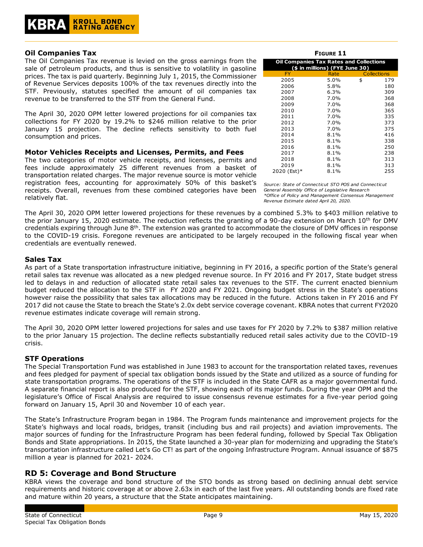# **Oil Companies Tax**

The Oil Companies Tax revenue is levied on the gross earnings from the sale of petroleum products, and thus is sensitive to volatility in gasoline prices. The tax is paid quarterly. Beginning July 1, 2015, the Commissioner of Revenue Services deposits 100% of the tax revenues directly into the STF. Previously, statutes specified the amount of oil companies tax revenue to be transferred to the STF from the General Fund.

The April 30, 2020 OPM letter lowered projections for oil companies tax collections for FY 2020 by 19.2% to \$246 million relative to the prior January 15 projection. The decline reflects sensitivity to both fuel consumption and prices.

#### **Motor Vehicles Receipts and Licenses, Permits, and Fees**

The two categories of motor vehicle receipts, and licenses, permits and fees include approximately 25 different revenues from a basket of transportation related charges. The major revenue source is motor vehicle registration fees, accounting for approximately 50% of this basket's *Source: State of Connecticut STO POS and Connecticut*  receipts. Overall, revenues from these combined categories have been relatively flat.

| FIGURE 11                                                                        |         |    |                    |  |  |  |  |  |
|----------------------------------------------------------------------------------|---------|----|--------------------|--|--|--|--|--|
| <b>Oil Companies Tax Rates and Collections</b><br>(\$ in millions) (FYE June 30) |         |    |                    |  |  |  |  |  |
| FY                                                                               | Rate    |    | <b>Collections</b> |  |  |  |  |  |
| 2005                                                                             | 5.0%    | \$ | 179                |  |  |  |  |  |
| 2006                                                                             | 5.8%    |    | 180                |  |  |  |  |  |
| 2007                                                                             | 6.3%    |    | 309                |  |  |  |  |  |
| 2008                                                                             | 7.0%    |    | 368                |  |  |  |  |  |
| 2009                                                                             | 7.0%    |    | 368                |  |  |  |  |  |
| 2010                                                                             | 7.0%    |    | 365                |  |  |  |  |  |
| 2011                                                                             | 7.0%    |    | 335                |  |  |  |  |  |
| 2012                                                                             | 7.0%    |    | 373                |  |  |  |  |  |
| 2013                                                                             | 7.0%    |    | 375                |  |  |  |  |  |
| 2014                                                                             | $8.1\%$ |    | 416                |  |  |  |  |  |
| 2015                                                                             | 8.1%    |    | 338                |  |  |  |  |  |
| 2016                                                                             | $8.1\%$ |    | 250                |  |  |  |  |  |
| 2017                                                                             | 8.1%    |    | 238                |  |  |  |  |  |
| 2018                                                                             | 8.1%    |    | 313                |  |  |  |  |  |
| 2019                                                                             | 8.1%    |    | 313                |  |  |  |  |  |
| 2020 (Est)*                                                                      | 8.1%    |    | 255                |  |  |  |  |  |

*\*Office of Policy and Management Consensus Management Revenue Estimate dated April 20, 2020. General Assembly Office of Legislative Research* 

The April 30, 2020 OPM letter lowered projections for these revenues by a combined 5.3% to \$403 million relative to the prior January 15, 2020 estimate. The reduction reflects the granting of a 90-day extension on March  $10^{th}$  for DMV credentials expiring through June 8<sup>th</sup>. The extension was granted to accommodate the closure of DMV offices in response to the COVID-19 crisis. Foregone revenues are anticipated to be largely recouped in the following fiscal year when credentials are eventually renewed.

# **Sales Tax**

As part of a State transportation infrastructure initiative, beginning in FY 2016, a specific portion of the State's general retail sales tax revenue was allocated as a new pledged revenue source. In FY 2016 and FY 2017, State budget stress led to delays in and reduction of allocated state retail sales tax revenues to the STF. The current enacted biennium budget reduced the allocation to the STF in FY 2020 and FY 2021. Ongoing budget stress in the State's operations however raise the possibility that sales tax allocations may be reduced in the future. Actions taken in FY 2016 and FY 2017 did not cause the State to breach the State's 2.0x debt service coverage covenant. KBRA notes that current FY2020 revenue estimates indicate coverage will remain strong.

The April 30, 2020 OPM letter lowered projections for sales and use taxes for FY 2020 by 7.2% to \$387 million relative to the prior January 15 projection. The decline reflects substantially reduced retail sales activity due to the COVID-19 crisis.

#### **STF Operations**

The Special Transportation Fund was established in June 1983 to account for the transportation related taxes, revenues and fees pledged for payment of special tax obligation bonds issued by the State and utilized as a source of funding for state transportation programs. The operations of the STF is included in the State CAFR as a major governmental fund. A separate financial report is also produced for the STF, showing each of its major funds. During the year OPM and the legislature's Office of Fiscal Analysis are required to issue consensus revenue estimates for a five-year period going forward on January 15, April 30 and November 10 of each year.

The State's Infrastructure Program began in 1984. The Program funds maintenance and improvement projects for the State's highways and local roads, bridges, transit (including bus and rail projects) and aviation improvements. The major sources of funding for the Infrastructure Program has been federal funding, followed by Special Tax Obligation Bonds and State appropriations. In 2015, the State launched a 30-year plan for modernizing and upgrading the State's transportation infrastructure called Let's Go CT! as part of the ongoing Infrastructure Program. Annual issuance of \$875 million a year is planned for 2021- 2024.

# **RD 5: Coverage and Bond Structure**

KBRA views the coverage and bond structure of the STO bonds as strong based on declining annual debt service requirements and historic coverage at or above 2.63x in each of the last five years. All outstanding bonds are fixed rate and mature within 20 years, a structure that the State anticipates maintaining.